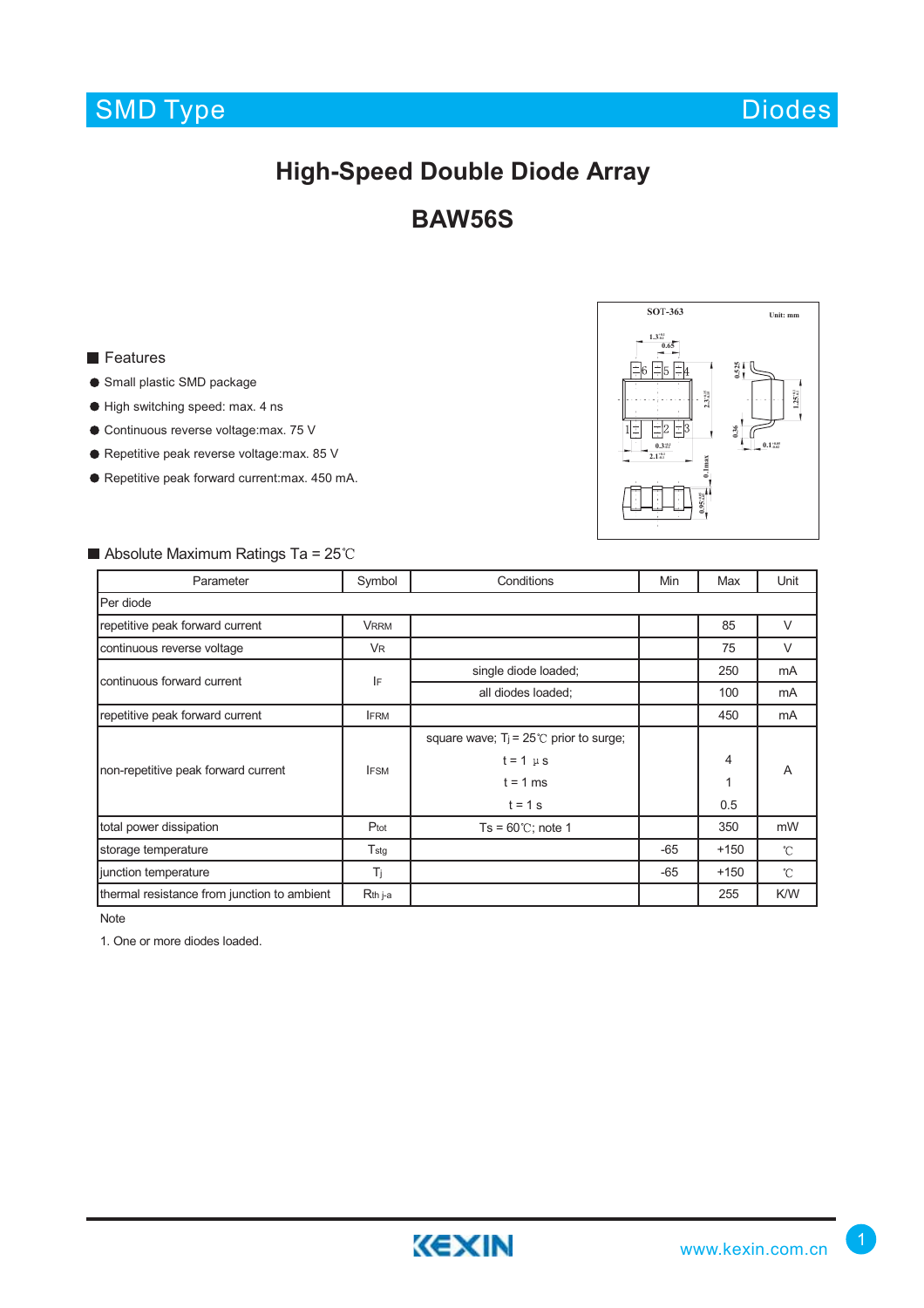# SMD Type

Diodes

## **High-Speed Double Diode Array**

### **BAW56S**

**Features** 

- Small plastic SMD package
- High switching speed: max. 4 ns
- Continuous reverse voltage:max. 75 V
- Repetitive peak reverse voltage: max. 85 V
- Repetitive peak forward current:max. 450 mA.



#### $\blacksquare$  Absolute Maximum Ratings Ta = 25°C

| Parameter                                   | Symbol              | Conditions                                      | Min   | Max    | Unit         |
|---------------------------------------------|---------------------|-------------------------------------------------|-------|--------|--------------|
| Per diode                                   |                     |                                                 |       |        |              |
| repetitive peak forward current             | <b>VRRM</b>         |                                                 |       | 85     | $\vee$       |
| continuous reverse voltage                  | <b>VR</b>           |                                                 |       | 75     | $\vee$       |
| continuous forward current                  | IF                  | single diode loaded;                            |       | 250    | mA           |
|                                             |                     | all diodes loaded;                              |       | 100    | mA           |
| repetitive peak forward current             | <b>IFRM</b>         |                                                 |       | 450    | mA           |
| non-repetitive peak forward current         | <b>IFSM</b>         | square wave; $T_i = 25^{\circ}$ prior to surge; |       |        | A            |
|                                             |                     | $t = 1 \mu s$                                   |       | 4      |              |
|                                             |                     | $t = 1$ ms                                      |       | 1      |              |
|                                             |                     | $t = 1$ s                                       |       | 0.5    |              |
| total power dissipation                     | Ptot                | $Ts = 60^{\circ}$ C; note 1                     |       | 350    | mW           |
| storage temperature                         | $T_{\rm stg}$       |                                                 | $-65$ | $+150$ | $^{\circ}$ C |
| junction temperature                        | Τj                  |                                                 | $-65$ | $+150$ | $^{\circ}$ C |
| thermal resistance from junction to ambient | R <sub>th</sub> j-a |                                                 |       | 255    | K/W          |

Note

1. One or more diodes loaded.